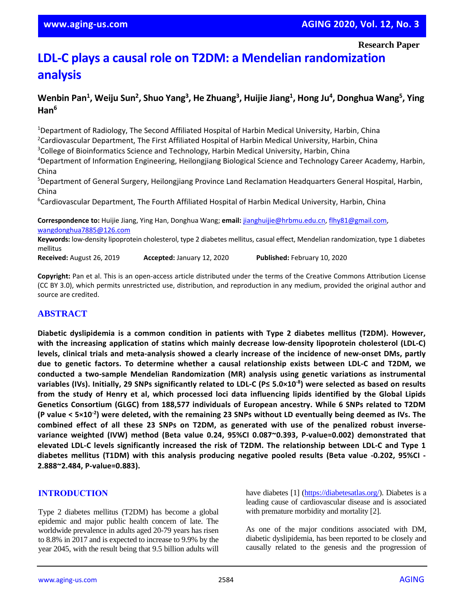**Research Paper**

# **LDL-C plays a causal role on T2DM: a Mendelian randomization analysis**

# **Wenbin Pan<sup>1</sup> , Weiju Sun<sup>2</sup> , Shuo Yang<sup>3</sup> , He Zhuang<sup>3</sup> , Huijie Jiang<sup>1</sup> , Hong Ju<sup>4</sup> , Donghua Wang<sup>5</sup> , Ying Han<sup>6</sup>**

<sup>1</sup>Department of Radiology, The Second Affiliated Hospital of Harbin Medical University, Harbin, China <sup>2</sup>Cardiovascular Department, The First Affiliated Hospital of Harbin Medical University, Harbin, China <sup>3</sup>College of Bioinformatics Science and Technology, Harbin Medical University, Harbin, China

<sup>4</sup>Department of Information Engineering, Heilongjiang Biological Science and Technology Career Academy, Harbin, China

<sup>5</sup>Department of General Surgery, Heilongjiang Province Land Reclamation Headquarters General Hospital, Harbin, China

<sup>6</sup>Cardiovascular Department, The Fourth Affiliated Hospital of Harbin Medical University, Harbin, China

**Correspondence to:** Huijie Jiang, Ying Han, Donghua Wang; **email:** [jianghuijie@hrbmu.edu.cn,](mailto:jianghuijie@hrbmu.edu.cn) [flhy81@gmail.com,](mailto:flhy81@gmail.com)  <wangdonghua7885@126.com>

**Keywords:** low-density lipoprotein cholesterol, type 2 diabetes mellitus, casual effect, Mendelian randomization, type 1 diabetes mellitus

**Received:** August 26, 2019 **Accepted:** January 12, 2020 **Published:** February 10, 2020

**Copyright:** Pan et al. This is an open-access article distributed under the terms of the Creative Commons Attribution License (CC BY 3.0), which permits unrestricted use, distribution, and reproduction in any medium, provided the original author and source are credited.

## **ABSTRACT**

**Diabetic dyslipidemia is a common condition in patients with Type 2 diabetes mellitus (T2DM). However, with the increasing application of statins which mainly decrease low-density lipoprotein cholesterol (LDL-C) levels, clinical trials and meta-analysis showed a clearly increase of the incidence of new-onset DMs, partly due to genetic factors. To determine whether a causal relationship exists between LDL-C and T2DM, we conducted a two-sample Mendelian Randomization (MR) analysis using genetic variations as instrumental** variables (IVs). Initially, 29 SNPs significantly related to LDL-C (P≤ 5.0×10<sup>-8</sup>) were selected as based on results from the study of Henry et al, which processed loci data influencing lipids identified by the Global Lipids **Genetics Consortium (GLGC) from 188,577 individuals of European ancestry. While 6 SNPs related to T2DM** (P value < 5×10<sup>-2</sup>) were deleted, with the remaining 23 SNPs without LD eventually being deemed as IVs. The combined effect of all these 23 SNPs on T2DM, as generated with use of the penalized robust inverse**variance weighted (IVW) method (Beta value 0.24, 95%CI 0.087~0.393, P-value=0.002) demonstrated that elevated LDL-C levels significantly increased the risk of T2DM. The relationship between LDL-C and Type 1 diabetes mellitus (T1DM) with this analysis producing negative pooled results (Beta value -0.202, 95%CI - 2.888~2.484, P-value=0.883).**

## **INTRODUCTION**

Type 2 diabetes mellitus (T2DM) has become a global epidemic and major public health concern of late. The worldwide prevalence in adults aged 20-79 years has risen to 8.8% in 2017 and is expected to increase to 9.9% by the year 2045, with the result being that 9.5 billion adults will have diabetes [1] [\(https://diabetesatlas.org/\)](https://diabetesatlas.org/). Diabetes is a leading cause of cardiovascular disease and is associated with premature morbidity and mortality [2].

As one of the major conditions associated with DM, diabetic dyslipidemia, has been reported to be closely and causally related to the genesis and the progression of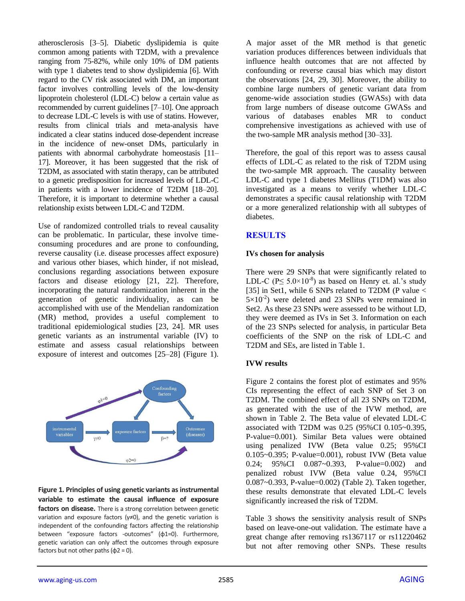atherosclerosis [3–5]. Diabetic dyslipidemia is quite common among patients with T2DM, with a prevalence ranging from 75-82%, while only 10% of DM patients with type 1 diabetes tend to show dyslipidemia [6]. With regard to the CV risk associated with DM, an important factor involves controlling levels of the low-density lipoprotein cholesterol (LDL-C) below a certain value as recommended by current guidelines [7–10]. One approach to decrease LDL-C levels is with use of statins. However, results from clinical trials and meta-analysis have indicated a clear statins induced dose-dependent increase in the incidence of new-onset DMs, particularly in patients with abnormal carbohydrate homeostasis [11– 17]. Moreover, it has been suggested that the risk of T2DM, as associated with statin therapy, can be attributed to a genetic predisposition for increased levels of LDL-C in patients with a lower incidence of T2DM [18–20]. Therefore, it is important to determine whether a causal relationship exists between LDL-C and T2DM.

Use of randomized controlled trials to reveal causality can be problematic. In particular, these involve timeconsuming procedures and are prone to confounding, reverse causality (i.e. disease processes affect exposure) and various other biases, which hinder, if not mislead, conclusions regarding associations between exposure factors and disease etiology [21, 22]. Therefore, incorporating the natural randomization inherent in the generation of genetic individuality, as can be accomplished with use of the Mendelian randomization (MR) method, provides a useful complement to traditional epidemiological studies [23, 24]. MR uses genetic variants as an instrumental variable (IV) to estimate and assess casual relationships between exposure of interest and outcomes [25–28] (Figure 1).



**Figure 1. Principles of using genetic variants as instrumental variable to estimate the causal influence of exposure factors on disease.** There is a strong correlation between genetic variation and exposure factors ( $\gamma \neq 0$ ), and the genetic variation is independent of the confounding factors affecting the relationship between "exposure factors -outcomes" (φ1=0). Furthermore, genetic variation can only affect the outcomes through exposure factors but not other paths  $(\phi$ 2 = 0).

A major asset of the MR method is that genetic variation produces differences between individuals that influence health outcomes that are not affected by confounding or reverse causal bias which may distort the observations [24, 29, 30]. Moreover, the ability to combine large numbers of genetic variant data from genome-wide association studies (GWASs) with data from large numbers of disease outcome GWASs and various of databases enables MR to conduct comprehensive investigations as achieved with use of the two-sample MR analysis method [30–33].

Therefore, the goal of this report was to assess causal effects of LDL-C as related to the risk of T2DM using the two-sample MR approach. The causality between LDL-C and type 1 diabetes Mellitus (T1DM) was also investigated as a means to verify whether LDL-C demonstrates a specific causal relationship with T2DM or a more generalized relationship with all subtypes of diabetes.

# **RESULTS**

## **IVs chosen for analysis**

There were 29 SNPs that were significantly related to LDL-C ( $P \le 5.0 \times 10^{-8}$ ) as based on Henry et. al.'s study [35] in Set1, while 6 SNPs related to T2DM (P value <  $5 \times 10^{-2}$ ) were deleted and 23 SNPs were remained in Set2. As these 23 SNPs were assessed to be without LD, they were deemed as IVs in Set 3. Information on each of the 23 SNPs selected for analysis, in particular Beta coefficients of the SNP on the risk of LDL-C and T2DM and SEs, are listed in Table 1.

#### **IVW results**

Figure 2 contains the forest plot of estimates and 95% CIs representing the effect of each SNP of Set 3 on T2DM. The combined effect of all 23 SNPs on T2DM, as generated with the use of the IVW method, are shown in Table 2. The Beta value of elevated LDL-C associated with T2DM was 0.25 (95%CI 0.105~0.395, P-value=0.001). Similar Beta values were obtained using penalized IVW (Beta value 0.25; 95%CI 0.105~0.395; P-value=0.001), robust IVW (Beta value 0.24; 95%CI 0.087~0.393, P-value=0.002) and penalized robust IVW (Beta value 0.24, 95%CI 0.087~0.393, P-value=0.002) (Table 2). Taken together, these results demonstrate that elevated LDL-C levels significantly increased the risk of T2DM.

Table 3 shows the sensitivity analysis result of SNPs based on leave-one-out validation. The estimate have a great change after removing rs1367117 or rs11220462 but not after removing other SNPs. These results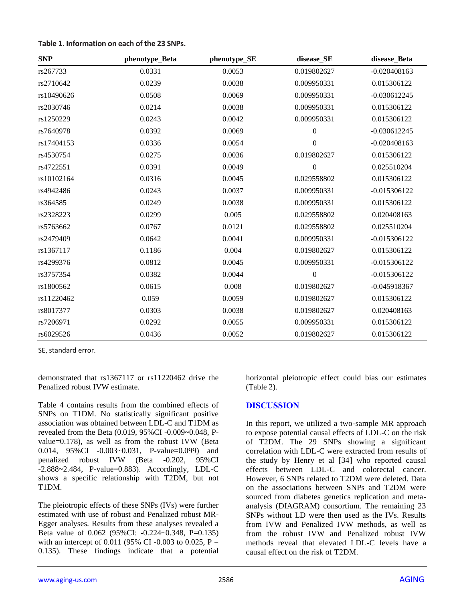| Table 1. Information on each of the 23 SNPs. |  |  |  |  |  |
|----------------------------------------------|--|--|--|--|--|
|----------------------------------------------|--|--|--|--|--|

| <b>SNP</b> | phenotype_Beta | phenotype_SE | disease_SE       | disease_Beta   |
|------------|----------------|--------------|------------------|----------------|
| rs267733   | 0.0331         | 0.0053       | 0.019802627      | $-0.020408163$ |
| rs2710642  | 0.0239         | 0.0038       | 0.009950331      | 0.015306122    |
| rs10490626 | 0.0508         | 0.0069       | 0.009950331      | $-0.030612245$ |
| rs2030746  | 0.0214         | 0.0038       | 0.009950331      | 0.015306122    |
| rs1250229  | 0.0243         | 0.0042       | 0.009950331      | 0.015306122    |
| rs7640978  | 0.0392         | 0.0069       | $\boldsymbol{0}$ | $-0.030612245$ |
| rs17404153 | 0.0336         | 0.0054       | $\boldsymbol{0}$ | $-0.020408163$ |
| rs4530754  | 0.0275         | 0.0036       | 0.019802627      | 0.015306122    |
| rs4722551  | 0.0391         | 0.0049       | $\boldsymbol{0}$ | 0.025510204    |
| rs10102164 | 0.0316         | 0.0045       | 0.029558802      | 0.015306122    |
| rs4942486  | 0.0243         | 0.0037       | 0.009950331      | $-0.015306122$ |
| rs364585   | 0.0249         | 0.0038       | 0.009950331      | 0.015306122    |
| rs2328223  | 0.0299         | 0.005        | 0.029558802      | 0.020408163    |
| rs5763662  | 0.0767         | 0.0121       | 0.029558802      | 0.025510204    |
| rs2479409  | 0.0642         | 0.0041       | 0.009950331      | $-0.015306122$ |
| rs1367117  | 0.1186         | 0.004        | 0.019802627      | 0.015306122    |
| rs4299376  | 0.0812         | 0.0045       | 0.009950331      | $-0.015306122$ |
| rs3757354  | 0.0382         | 0.0044       | $\boldsymbol{0}$ | $-0.015306122$ |
| rs1800562  | 0.0615         | 0.008        | 0.019802627      | $-0.045918367$ |
| rs11220462 | 0.059          | 0.0059       | 0.019802627      | 0.015306122    |
| rs8017377  | 0.0303         | 0.0038       | 0.019802627      | 0.020408163    |
| rs7206971  | 0.0292         | 0.0055       | 0.009950331      | 0.015306122    |
| rs6029526  | 0.0436         | 0.0052       | 0.019802627      | 0.015306122    |

SE, standard error.

demonstrated that rs1367117 or rs11220462 drive the Penalized robust IVW estimate.

Table 4 contains results from the combined effects of SNPs on T1DM. No statistically significant positive association was obtained between LDL-C and T1DM as revealed from the Beta (0.019, 95%CI -0.009~0.048, Pvalue=0.178), as well as from the robust IVW (Beta 0.014, 95%CI -0.003~0.031, P-value=0.099) and penalized robust IVW (Beta -0.202, 95%CI -2.888~2.484, P-value=0.883). Accordingly, LDL-C shows a specific relationship with T2DM, but not T1DM.

The pleiotropic effects of these SNPs (IVs) were further estimated with use of robust and Penalized robust MR-Egger analyses. Results from these analyses revealed a Beta value of 0.062 (95%CI: -0.224~0.348, P=0.135) with an intercept of 0.011 (95% CI -0.003 to 0.025,  $P =$ 0.135). These findings indicate that a potential horizontal pleiotropic effect could bias our estimates (Table 2).

# **DISCUSSION**

In this report, we utilized a two-sample MR approach to expose potential causal effects of LDL-C on the risk of T2DM. The 29 SNPs showing a significant correlation with LDL-C were extracted from results of the study by Henry et al [34] who reported causal effects between LDL-C and colorectal cancer. However, 6 SNPs related to T2DM were deleted. Data on the associations between SNPs and T2DM were sourced from diabetes genetics replication and metaanalysis (DIAGRAM) consortium. The remaining 23 SNPs without LD were then used as the IVs. Results from IVW and Penalized IVW methods, as well as from the robust IVW and Penalized robust IVW methods reveal that elevated LDL-C levels have a causal effect on the risk of T2DM.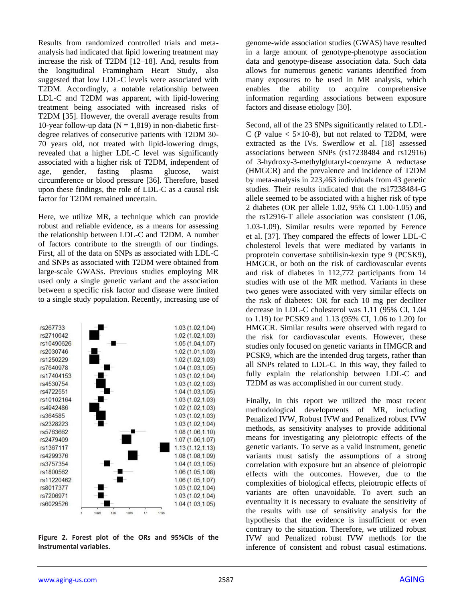Results from randomized controlled trials and metaanalysis had indicated that lipid lowering treatment may increase the risk of T2DM [12–18]. And, results from the longitudinal Framingham Heart Study, also suggested that low LDL-C levels were associated with T2DM. Accordingly, a notable relationship between LDL-C and T2DM was apparent, with lipid-lowering treatment being associated with increased risks of T2DM [35]. However, the overall average results from 10-year follow-up data ( $N = 1,819$ ) in non-diabetic firstdegree relatives of consecutive patients with T2DM 30- 70 years old, not treated with lipid-lowering drugs, revealed that a higher LDL-C level was significantly associated with a higher risk of T2DM, independent of age, gender, fasting plasma glucose, waist circumference or blood pressure [36]. Therefore, based upon these findings, the role of LDL-C as a causal risk factor for T2DM remained uncertain.

Here, we utilize MR, a technique which can provide robust and reliable evidence, as a means for assessing the relationship between LDL-C and T2DM. A number of factors contribute to the strength of our findings. First, all of the data on SNPs as associated with LDL-C and SNPs as associated with T2DM were obtained from large-scale GWASs. Previous studies employing MR used only a single genetic variant and the association between a specific risk factor and disease were limited to a single study population. Recently, increasing use of



**Figure 2. Forest plot of the ORs and 95%CIs of the instrumental variables.**

genome-wide association studies (GWAS) have resulted in a large amount of genotype-phenotype association data and genotype-disease association data. Such data allows for numerous genetic variants identified from many exposures to be used in MR analysis, which enables the ability to acquire comprehensive information regarding associations between exposure factors and disease etiology [30].

Second, all of the 23 SNPs significantly related to LDL-C (P value  $< 5 \times 10-8$ ), but not related to T2DM, were extracted as the IVs. Swerdlow et al. [18] assessed associations between SNPs (rs17238484 and rs12916) of 3-hydroxy-3-methylglutaryl-coenzyme A reductase (HMGCR) and the prevalence and incidence of T2DM by meta-analysis in 223,463 individuals from 43 genetic studies. Their results indicated that the rs17238484-G allele seemed to be associated with a higher risk of type 2 diabetes (OR per allele 1.02, 95% CI 1.00-1.05) and the rs12916-T allele association was consistent (1.06, 1.03-1.09). Similar results were reported by Ference et al. [37]. They compared the effects of lower LDL-C cholesterol levels that were mediated by variants in proprotein convertase subtilisin-kexin type 9 (PCSK9), HMGCR, or both on the risk of cardiovascular events and risk of diabetes in 112,772 participants from 14 studies with use of the MR method. Variants in these two genes were associated with very similar effects on the risk of diabetes: OR for each 10 mg per deciliter decrease in LDL-C cholesterol was 1.11 (95% CI, 1.04 to 1.19) for PCSK9 and 1.13 (95% CI, 1.06 to 1.20) for HMGCR. Similar results were observed with regard to the risk for cardiovascular events. However, these studies only focused on genetic variants in HMGCR and PCSK9, which are the intended drug targets, rather than all SNPs related to LDL-C. In this way, they failed to fully explain the relationship between LDL-C and T2DM as was accomplished in our current study.

Finally, in this report we utilized the most recent methodological developments of MR, including Penalized IVW, Robust IVW and Penalized robust IVW methods, as sensitivity analyses to provide additional means for investigating any pleiotropic effects of the genetic variants. To serve as a valid instrument, genetic variants must satisfy the assumptions of a strong correlation with exposure but an absence of pleiotropic effects with the outcomes. However, due to the complexities of biological effects, pleiotropic effects of variants are often unavoidable. To avert such an eventuality it is necessary to evaluate the sensitivity of the results with use of sensitivity analysis for the hypothesis that the evidence is insufficient or even contrary to the situation. Therefore, we utilized robust IVW and Penalized robust IVW methods for the inference of consistent and robust casual estimations.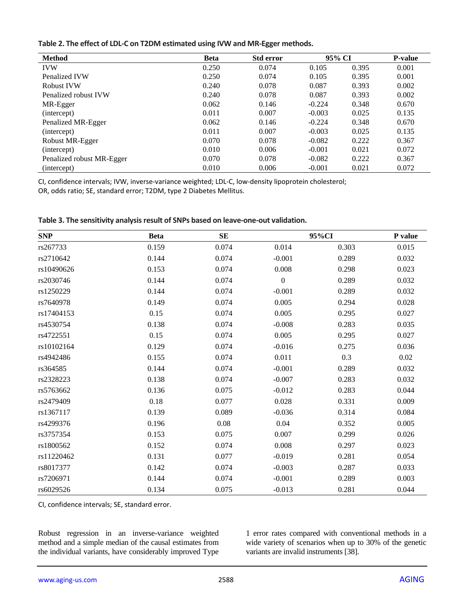| Table 2. The effect of LDL-C on T2DM estimated using IVW and MR-Egger methods. |  |  |
|--------------------------------------------------------------------------------|--|--|
|--------------------------------------------------------------------------------|--|--|

| <b>Method</b>             | <b>Beta</b> | <b>Std error</b> | 95% CI   |       | <b>P-value</b> |
|---------------------------|-------------|------------------|----------|-------|----------------|
| <b>IVW</b>                | 0.250       | 0.074            | 0.105    | 0.395 | 0.001          |
| Penalized IVW             | 0.250       | 0.074            | 0.105    | 0.395 | 0.001          |
| <b>Robust IVW</b>         | 0.240       | 0.078            | 0.087    | 0.393 | 0.002          |
| Penalized robust IVW      | 0.240       | 0.078            | 0.087    | 0.393 | 0.002          |
| MR-Egger                  | 0.062       | 0.146            | $-0.224$ | 0.348 | 0.670          |
| (intercept)               | 0.011       | 0.007            | $-0.003$ | 0.025 | 0.135          |
| Penalized MR-Egger        | 0.062       | 0.146            | $-0.224$ | 0.348 | 0.670          |
| (intercept)               | 0.011       | 0.007            | $-0.003$ | 0.025 | 0.135          |
| Robust MR-Egger           | 0.070       | 0.078            | $-0.082$ | 0.222 | 0.367          |
| (intercept)               | 0.010       | 0.006            | $-0.001$ | 0.021 | 0.072          |
| Penalized robust MR-Egger | 0.070       | 0.078            | $-0.082$ | 0.222 | 0.367          |
| (intercept)               | 0.010       | 0.006            | $-0.001$ | 0.021 | 0.072          |

CI, confidence intervals; IVW, inverse-variance weighted; LDL-C, low-density lipoprotein cholesterol;

OR, odds ratio; SE, standard error; T2DM, type 2 Diabetes Mellitus.

| <b>SNP</b> | <b>Beta</b> | ${\bf SE}$ |                  | 95%CI | P value  |
|------------|-------------|------------|------------------|-------|----------|
| rs267733   | 0.159       | 0.074      | 0.014            | 0.303 | 0.015    |
| rs2710642  | 0.144       | 0.074      | $-0.001$         | 0.289 | 0.032    |
| rs10490626 | 0.153       | 0.074      | 0.008            | 0.298 | 0.023    |
| rs2030746  | 0.144       | 0.074      | $\boldsymbol{0}$ | 0.289 | 0.032    |
| rs1250229  | 0.144       | 0.074      | $-0.001$         | 0.289 | 0.032    |
| rs7640978  | 0.149       | 0.074      | 0.005            | 0.294 | 0.028    |
| rs17404153 | 0.15        | 0.074      | 0.005            | 0.295 | 0.027    |
| rs4530754  | 0.138       | 0.074      | $-0.008$         | 0.283 | 0.035    |
| rs4722551  | 0.15        | 0.074      | 0.005            | 0.295 | 0.027    |
| rs10102164 | 0.129       | 0.074      | $-0.016$         | 0.275 | 0.036    |
| rs4942486  | 0.155       | 0.074      | 0.011            | 0.3   | $0.02\,$ |
| rs364585   | 0.144       | 0.074      | $-0.001$         | 0.289 | 0.032    |
| rs2328223  | 0.138       | 0.074      | $-0.007$         | 0.283 | 0.032    |
| rs5763662  | 0.136       | 0.075      | $-0.012$         | 0.283 | 0.044    |
| rs2479409  | 0.18        | 0.077      | 0.028            | 0.331 | 0.009    |
| rs1367117  | 0.139       | 0.089      | $-0.036$         | 0.314 | 0.084    |
| rs4299376  | 0.196       | 0.08       | 0.04             | 0.352 | 0.005    |
| rs3757354  | 0.153       | 0.075      | 0.007            | 0.299 | 0.026    |
| rs1800562  | 0.152       | 0.074      | 0.008            | 0.297 | 0.023    |
| rs11220462 | 0.131       | 0.077      | $-0.019$         | 0.281 | 0.054    |
| rs8017377  | 0.142       | 0.074      | $-0.003$         | 0.287 | 0.033    |
| rs7206971  | 0.144       | 0.074      | $-0.001$         | 0.289 | 0.003    |
| rs6029526  | 0.134       | 0.075      | $-0.013$         | 0.281 | 0.044    |

**Table 3. The sensitivity analysis result of SNPs based on leave-one-out validation.**

CI, confidence intervals; SE, standard error.

Robust regression in an inverse-variance weighted method and a simple median of the causal estimates from the individual variants, have considerably improved Type 1 error rates compared with conventional methods in a wide variety of scenarios when up to 30% of the genetic variants are invalid instruments [38].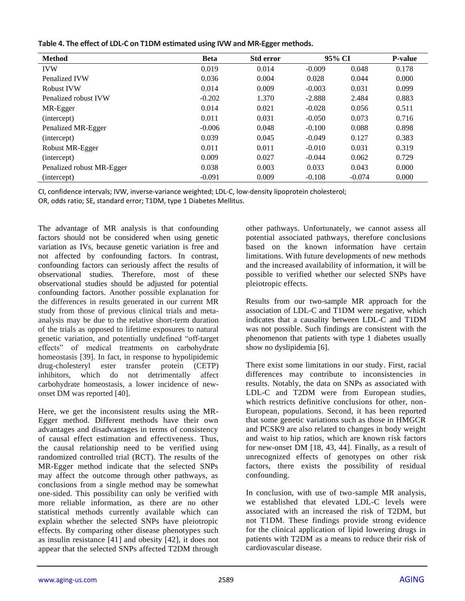| Table 4. The effect of LDL-C on T1DM estimated using IVW and MR-Egger methods. |  |  |
|--------------------------------------------------------------------------------|--|--|
|--------------------------------------------------------------------------------|--|--|

| <b>Method</b>             | <b>Beta</b> | <b>Std error</b> | 95% CI   |          | <b>P-value</b> |
|---------------------------|-------------|------------------|----------|----------|----------------|
| <b>IVW</b>                | 0.019       | 0.014            | $-0.009$ | 0.048    | 0.178          |
| Penalized IVW             | 0.036       | 0.004            | 0.028    | 0.044    | 0.000          |
| <b>Robust IVW</b>         | 0.014       | 0.009            | $-0.003$ | 0.031    | 0.099          |
| Penalized robust IVW      | $-0.202$    | 1.370            | $-2.888$ | 2.484    | 0.883          |
| MR-Egger                  | 0.014       | 0.021            | $-0.028$ | 0.056    | 0.511          |
| (intercept)               | 0.011       | 0.031            | $-0.050$ | 0.073    | 0.716          |
| Penalized MR-Egger        | $-0.006$    | 0.048            | $-0.100$ | 0.088    | 0.898          |
| (intercept)               | 0.039       | 0.045            | $-0.049$ | 0.127    | 0.383          |
| Robust MR-Egger           | 0.011       | 0.011            | $-0.010$ | 0.031    | 0.319          |
| (intercept)               | 0.009       | 0.027            | $-0.044$ | 0.062    | 0.729          |
| Penalized robust MR-Egger | 0.038       | 0.003            | 0.033    | 0.043    | 0.000          |
| (intercept)               | $-0.091$    | 0.009            | $-0.108$ | $-0.074$ | 0.000          |

CI, confidence intervals; IVW, inverse-variance weighted; LDL-C, low-density lipoprotein cholesterol;

OR, odds ratio; SE, standard error; T1DM, type 1 Diabetes Mellitus.

The advantage of MR analysis is that confounding factors should not be considered when using genetic variation as IVs, because genetic variation is free and not affected by confounding factors. In contrast, confounding factors can seriously affect the results of observational studies. Therefore, most of these observational studies should be adjusted for potential confounding factors. Another possible explanation for the differences in results generated in our current MR study from those of previous clinical trials and metaanalysis may be due to the relative short-term duration of the trials as opposed to lifetime exposures to natural genetic variation, and potentially undefined "off-target effects" of medical treatments on carbohydrate homeostasis [39]. In fact, in response to hypolipidemic drug-cholesteryl ester transfer protein (CETP) inhibitors, which do not detrimentally affect carbohydrate homeostasis, a lower incidence of newonset DM was reported [40].

Here, we get the inconsistent results using the MR-Egger method. Different methods have their own advantages and disadvantages in terms of consistency of causal effect estimation and effectiveness. Thus, the causal relationship need to be verified using randomized controlled trial (RCT). The results of the MR-Egger method indicate that the selected SNPs may affect the outcome through other pathways, as conclusions from a single method may be somewhat one-sided. This possibility can only be verified with more reliable information, as there are no other statistical methods currently available which can explain whether the selected SNPs have pleiotropic effects. By comparing other disease phenotypes such as insulin resistance [41] and obesity [42], it does not appear that the selected SNPs affected T2DM through

other pathways. Unfortunately, we cannot assess all potential associated pathways, therefore conclusions based on the known information have certain limitations. With future developments of new methods and the increased availability of information, it will be possible to verified whether our selected SNPs have pleiotropic effects.

Results from our two-sample MR approach for the association of LDL-C and T1DM were negative, which indicates that a causality between LDL-C and T1DM was not possible. Such findings are consistent with the phenomenon that patients with type 1 diabetes usually show no dyslipidemia [6].

There exist some limitations in our study. First, racial differences may contribute to inconsistencies in results. Notably, the data on SNPs as associated with LDL-C and T2DM were from European studies, which restricts definitive conclusions for other, non-European, populations. Second, it has been reported that some genetic variations such as those in HMGCR and PCSK9 are also related to changes in body weight and waist to hip ratios, which are known risk factors for new-onset DM [18, 43, 44]. Finally, as a result of unrecognized effects of genotypes on other risk factors, there exists the possibility of residual confounding.

In conclusion, with use of two-sample MR analysis, we established that elevated LDL-C levels were associated with an increased the risk of T2DM, but not T1DM. These findings provide strong evidence for the clinical application of lipid lowering drugs in patients with T2DM as a means to reduce their risk of cardiovascular disease.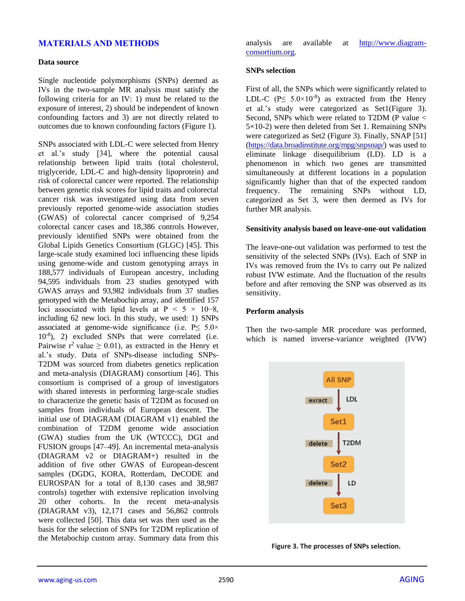# **MATERIALS AND METHODS**

#### **Data source**

Single nucleotide polymorphisms (SNPs) deemed as IVs in the two-sample MR analysis must satisfy the following criteria for an IV: 1) must be related to the exposure of interest, 2) should be independent of known confounding factors and 3) are not directly related to outcomes due to known confounding factors (Figure 1).

SNPs associated with LDL-C were selected from Henry et al.'s study [34], where the potential causal relationship between lipid traits (total cholesterol, triglyceride, LDL-C and high-density lipoprotein) and risk of colorectal cancer were reported. The relationship between genetic risk scores for lipid traits and colorectal cancer risk was investigated using data from seven previously reported genome-wide association studies (GWAS) of colorectal cancer comprised of 9,254 colorectal cancer cases and 18,386 controls. However, previously identified SNPs were obtained from the Global Lipids Genetics Consortium (GLGC) [45]. This large-scale study examined loci influencing these lipids using genome-wide and custom genotyping arrays in 188,577 individuals of European ancestry, including 94,595 individuals from 23 studies genotyped with GWAS arrays and 93,982 individuals from 37 studies genotyped with the Metabochip array, and identified 157 loci associated with lipid levels at  $P \le 5 \times 10-8$ , including 62 new loci. In this study, we used: 1) SNPs associated at genome-wide significance (i.e.  $P \le 5.0 \times$ 10-8 ), 2) excluded SNPs that were correlated (i.e. Pairwise  $r^2$  value  $\geq 0.01$ ), as extracted in the Henry et al.'s study. Data of SNPs-disease including SNPs-T2DM was sourced from diabetes genetics replication and meta-analysis (DIAGRAM) consortium [46]. This consortium is comprised of a group of investigators with shared interests in performing large-scale studies to characterize the genetic basis of T2DM as focused on samples from individuals of European descent. The initial use of DIAGRAM (DIAGRAM v1) enabled the combination of T2DM genome wide association (GWA) studies from the UK (WTCCC), DGI and FUSION groups [47–49]. An incremental meta-analysis (DIAGRAM v2 or DIAGRAM+) resulted in the addition of five other GWAS of European-descent samples (DGDG, KORA, Rotterdam, DeCODE and EUROSPAN for a total of 8,130 cases and 38,987 controls) together with extensive replication involving 20 other cohorts. In the recent meta-analysis (DIAGRAM v3), 12,171 cases and 56,862 controls were collected [50]. This data set was then used as the basis for the selection of SNPs for T2DM replication of the Metabochip custom array. Summary data from this

analysis are available at [http://www.diagram](http://www.diagram-consortium.org/)[consortium.org.](http://www.diagram-consortium.org/)

#### **SNPs selection**

First of all, the SNPs which were significantly related to LDL-C ( $P \le 5.0 \times 10^{-8}$ ) as extracted from the Henry et al.'s study were categorized as Set1(Figure 3). Second, SNPs which were related to T2DM (P value <  $5\times10-2$ ) were then deleted from Set 1. Remaining SNPs were categorized as Set2 (Figure 3). Finally, SNAP [51] [\(https://data.broadinstitute.org/mpg/snpsnap/\)](https://data.broadinstitute.org/mpg/snpsnap/) was used to eliminate linkage disequilibrium (LD). LD is a phenomenon in which two genes are transmitted simultaneously at different locations in a population significantly higher than that of the expected random frequency. The remaining SNPs without LD, categorized as Set 3, were then deemed as IVs for further MR analysis.

#### **Sensitivity analysis based on leave-one-out validation**

The leave-one-out validation was performed to test the sensitivity of the selected SNPs (IVs). Each of SNP in IVs was removed from the IVs to carry out Pe nalized robust IVW estimate. And the fluctuation of the results before and after removing the SNP was observed as its sensitivity.

#### **Perform analysis**

Then the two-sample MR procedure was performed, which is named inverse-variance weighted (IVW)



**Figure 3. The processes of SNPs selection.**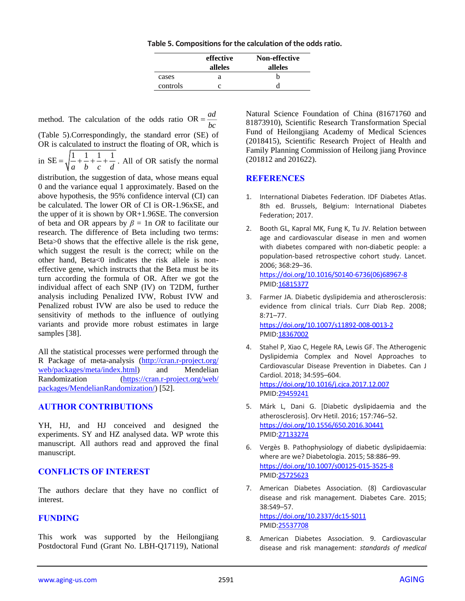|          | effective<br>alleles | <b>Non-effective</b><br>alleles |
|----------|----------------------|---------------------------------|
| cases    | я                    | h                               |
| controls |                      |                                 |

method. The calculation of the odds ratio OR  $=$   $\frac{ad}{dx}$  $=$  $\frac{1}{bc}$ 

(Table 5).Correspondingly, the standard error (SE) of OR is calculated to instruct the floating of OR, which is

in  $SE = \sqrt{\frac{1}{1} + \frac{1}{1} + \frac{1}{1} + \frac{1}{1}}$  $=\sqrt{\frac{1}{a} + \frac{1}{b} + \frac{1}{c} + \frac{1}{d}}$ . All of OR satisfy the normal

distribution, the suggestion of data, whose means equal 0 and the variance equal 1 approximately. Based on the above hypothesis, the 95% confidence interval (CI) can be calculated. The lower OR of CI is OR-1.96xSE, and the upper of it is shown by  $OR+1.96SE$ . The conversion of beta and OR appears by  $\beta = \ln \text{OR}$  to facilitate our research. The difference of Beta including two terms: Beta>0 shows that the effective allele is the risk gene, which suggest the result is the correct; while on the other hand, Beta<0 indicates the risk allele is noneffective gene, which instructs that the Beta must be its turn according the formula of OR. After we got the individual affect of each SNP (IV) on T2DM, further analysis including Penalized IVW, Robust IVW and Penalized robust IVW are also be used to reduce the sensitivity of methods to the influence of outlying variants and provide more robust estimates in large samples [38].

All the statistical processes were performed through the R Package of meta-analysis [\(http://cran.r-project.org/](http://cran.r-project.org/%0bweb/packages/meta/index.html) [web/packages/meta/index.html\)](http://cran.r-project.org/%0bweb/packages/meta/index.html) and Mendelian Randomization [\(https://cran.r-project.org/web/](https://cran.r-project.org/web/packages/MendelianRandomization/) [packages/MendelianRandomization/\)](https://cran.r-project.org/web/packages/MendelianRandomization/) [52].

## **AUTHOR CONTRIBUTIONS**

YH, HJ, and HJ conceived and designed the experiments. SY and HZ analysed data. WP wrote this manuscript. All authors read and approved the final manuscript.

# **CONFLICTS OF INTEREST**

The authors declare that they have no conflict of interest.

# **FUNDING**

This work was supported by the Heilongjiang Postdoctoral Fund (Grant No. LBH-Q17119), National Natural Science Foundation of China (81671760 and 81873910), Scientific Research Transformation Special Fund of Heilongjiang Academy of Medical Sciences (2018415), Scientific Research Project of Health and Family Planning Commission of Heilong jiang Province (201812 and 201622).

## **REFERENCES**

- 1. International Diabetes Federation. IDF Diabetes Atlas. 8th ed. Brussels, Belgium: International Diabetes Federation; 2017.
- 2. Booth GL, Kapral MK, Fung K, Tu JV. Relation between age and cardiovascular disease in men and women with diabetes compared with non-diabetic people: a population-based retrospective cohort study. Lancet. 2006; 368:29–36. [https://doi.org/10.1016/S0140-6736\(06\)68967-8](https://doi.org/10.1016/S0140-6736%2806%2968967-8)

PMI[D:16815377](https://www.ncbi.nlm.nih.gov/pubmed/16815377)

- 3. Farmer JA. Diabetic dyslipidemia and atherosclerosis: evidence from clinical trials. Curr Diab Rep. 2008; 8:71–77. <https://doi.org/10.1007/s11892-008-0013-2> PMI[D:18367002](https://www.ncbi.nlm.nih.gov/pubmed/18367002)
- 4. Stahel P, Xiao C, Hegele RA, Lewis GF. The Atherogenic Dyslipidemia Complex and Novel Approaches to Cardiovascular Disease Prevention in Diabetes. Can J Cardiol. 2018; 34:595–604. <https://doi.org/10.1016/j.cjca.2017.12.007> PMI[D:29459241](https://www.ncbi.nlm.nih.gov/pubmed/29459241)
- 5. Márk L, Dani G. [Diabetic dyslipidaemia and the atherosclerosis]. Orv Hetil. 2016; 157:746–52. <https://doi.org/10.1556/650.2016.30441> PMI[D:27133274](https://www.ncbi.nlm.nih.gov/pubmed/27133274)
- 6. Vergès B. Pathophysiology of diabetic dyslipidaemia: where are we? Diabetologia. 2015; 58:886–99. <https://doi.org/10.1007/s00125-015-3525-8> PMI[D:25725623](https://www.ncbi.nlm.nih.gov/pubmed/25725623)
- 7. American Diabetes Association. (8) Cardiovascular disease and risk management. Diabetes Care. 2015; 38:S49–57. <https://doi.org/10.2337/dc15-S011> PMI[D:25537708](https://www.ncbi.nlm.nih.gov/pubmed/25537708)
- 8. American Diabetes Association. 9. Cardiovascular disease and risk management: *standards of medical*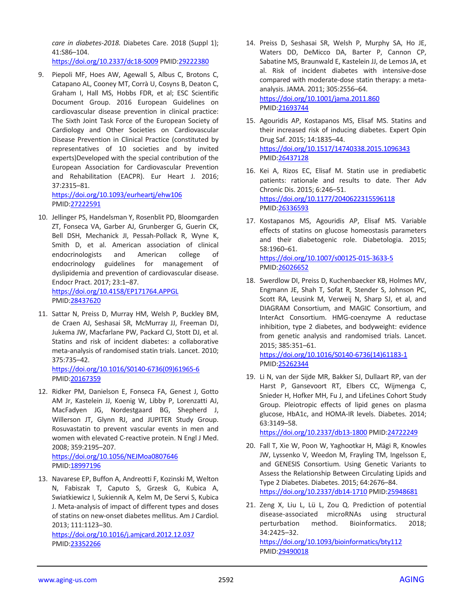*care in diabetes-2018.* Diabetes Care. 2018 (Suppl 1); 41:S86–104.

<https://doi.org/10.2337/dc18-S009> PMID[:29222380](https://www.ncbi.nlm.nih.gov/pubmed/29222380)

9. Piepoli MF, Hoes AW, Agewall S, Albus C, Brotons C, Catapano AL, Cooney MT, Corrà U, Cosyns B, Deaton C, Graham I, Hall MS, Hobbs FDR, et al; ESC Scientific Document Group. 2016 European Guidelines on cardiovascular disease prevention in clinical practice: The Sixth Joint Task Force of the European Society of Cardiology and Other Societies on Cardiovascular Disease Prevention in Clinical Practice (constituted by representatives of 10 societies and by invited experts)Developed with the special contribution of the European Association for Cardiovascular Prevention and Rehabilitation (EACPR). Eur Heart J. 2016; 37:2315–81.

<https://doi.org/10.1093/eurheartj/ehw106> PMID[:27222591](https://www.ncbi.nlm.nih.gov/pubmed/27222591)

- 10. Jellinger PS, Handelsman Y, Rosenblit PD, Bloomgarden ZT, Fonseca VA, Garber AJ, Grunberger G, Guerin CK, Bell DSH, Mechanick JI, Pessah-Pollack R, Wyne K, Smith D, et al. American association of clinical endocrinologists and American college of endocrinology guidelines for management of dyslipidemia and prevention of cardiovascular disease. Endocr Pract. 2017; 23:1–87. <https://doi.org/10.4158/EP171764.APPGL> PMID[:28437620](https://www.ncbi.nlm.nih.gov/pubmed/28437620)
- 11. Sattar N, Preiss D, Murray HM, Welsh P, Buckley BM, de Craen AJ, Seshasai SR, McMurray JJ, Freeman DJ, Jukema JW, Macfarlane PW, Packard CJ, Stott DJ, et al. Statins and risk of incident diabetes: a collaborative meta-analysis of randomised statin trials. Lancet. 2010; 375:735–42.

[https://doi.org/10.1016/S0140-6736\(09\)61965-6](https://doi.org/10.1016/S0140-6736%2809%2961965-6) PMID[:20167359](https://www.ncbi.nlm.nih.gov/pubmed/20167359)

12. Ridker PM, Danielson E, Fonseca FA, Genest J, Gotto AM Jr, Kastelein JJ, Koenig W, Libby P, Lorenzatti AJ, MacFadyen JG, Nordestgaard BG, Shepherd J, Willerson JT, Glynn RJ, and JUPITER Study Group. Rosuvastatin to prevent vascular events in men and women with elevated C-reactive protein. N Engl J Med. 2008; 359:2195–207. <https://doi.org/10.1056/NEJMoa0807646>

PMID[:18997196](https://www.ncbi.nlm.nih.gov/pubmed/18997196)

13. Navarese EP, Buffon A, Andreotti F, Kozinski M, Welton N, Fabiszak T, Caputo S, Grzesk G, Kubica A, Swiatkiewicz I, Sukiennik A, Kelm M, De Servi S, Kubica J. Meta-analysis of impact of different types and doses of statins on new-onset diabetes mellitus. Am J Cardiol. 2013; 111:1123–30.

<https://doi.org/10.1016/j.amjcard.2012.12.037> PMID[:23352266](https://www.ncbi.nlm.nih.gov/pubmed/23352266)

14. Preiss D, Seshasai SR, Welsh P, Murphy SA, Ho JE, Waters DD, DeMicco DA, Barter P, Cannon CP, Sabatine MS, Braunwald E, Kastelein JJ, de Lemos JA, et al. Risk of incident diabetes with intensive-dose compared with moderate-dose statin therapy: a metaanalysis. JAMA. 2011; 305:2556–64. <https://doi.org/10.1001/jama.2011.860>

PMI[D:21693744](https://www.ncbi.nlm.nih.gov/pubmed/21693744)

- 15. Agouridis AP, Kostapanos MS, Elisaf MS. Statins and their increased risk of inducing diabetes. Expert Opin Drug Saf. 2015; 14:1835–44. <https://doi.org/10.1517/14740338.2015.1096343> PMI[D:26437128](https://www.ncbi.nlm.nih.gov/pubmed/26437128)
- 16. Kei A, Rizos EC, Elisaf M. Statin use in prediabetic patients: rationale and results to date. Ther Adv Chronic Dis. 2015; 6:246–51. <https://doi.org/10.1177/2040622315596118> PMI[D:26336593](https://www.ncbi.nlm.nih.gov/pubmed/26336593)
- 17. Kostapanos MS, Agouridis AP, Elisaf MS. Variable effects of statins on glucose homeostasis parameters and their diabetogenic role. Diabetologia. 2015; 58:1960–61. <https://doi.org/10.1007/s00125-015-3633-5> PMI[D:26026652](https://www.ncbi.nlm.nih.gov/pubmed/26026652)
- 18. Swerdlow DI, Preiss D, Kuchenbaecker KB, Holmes MV, Engmann JE, Shah T, Sofat R, Stender S, Johnson PC, Scott RA, Leusink M, Verweij N, Sharp SJ, et al, and DIAGRAM Consortium, and MAGIC Consortium, and InterAct Consortium. HMG-coenzyme A reductase inhibition, type 2 diabetes, and bodyweight: evidence from genetic analysis and randomised trials. Lancet. 2015; 385:351–61.

[https://doi.org/10.1016/S0140-6736\(14\)61183-1](https://doi.org/10.1016/S0140-6736%2814%2961183-1) PMI[D:25262344](https://www.ncbi.nlm.nih.gov/pubmed/25262344)

19. Li N, van der Sijde MR, Bakker SJ, Dullaart RP, van der Harst P, Gansevoort RT, Elbers CC, Wijmenga C, Snieder H, Hofker MH, Fu J, and LifeLines Cohort Study Group. Pleiotropic effects of lipid genes on plasma glucose, HbA1c, and HOMA-IR levels. Diabetes. 2014; 63:3149–58.

<https://doi.org/10.2337/db13-1800> PMID[:24722249](https://www.ncbi.nlm.nih.gov/pubmed/24722249)

- 20. Fall T, Xie W, Poon W, Yaghootkar H, Mägi R, Knowles JW, Lyssenko V, Weedon M, Frayling TM, Ingelsson E, and GENESIS Consortium. Using Genetic Variants to Assess the Relationship Between Circulating Lipids and Type 2 Diabetes. Diabetes. 2015; 64:2676–84. <https://doi.org/10.2337/db14-1710> PMID[:25948681](https://www.ncbi.nlm.nih.gov/pubmed/25948681)
- 21. Zeng X, Liu L, Lü L, Zou Q. Prediction of potential disease-associated microRNAs using structural perturbation method. Bioinformatics. 2018; 34:2425–32.

<https://doi.org/10.1093/bioinformatics/bty112> PMI[D:29490018](https://www.ncbi.nlm.nih.gov/pubmed/29490018)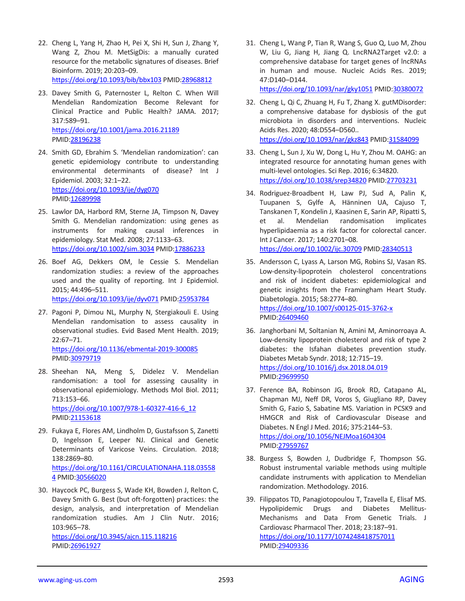- 22. Cheng L, Yang H, Zhao H, Pei X, Shi H, Sun J, Zhang Y, Wang Z, Zhou M. MetSigDis: a manually curated resource for the metabolic signatures of diseases. Brief Bioinform. 2019; 20:203–09. <https://doi.org/10.1093/bib/bbx103> PMID[:28968812](https://www.ncbi.nlm.nih.gov/pubmed/28968812)
- 23. Davey Smith G, Paternoster L, Relton C. When Will Mendelian Randomization Become Relevant for Clinical Practice and Public Health? JAMA. 2017; 317:589–91. <https://doi.org/10.1001/jama.2016.21189> PMID[:28196238](https://www.ncbi.nlm.nih.gov/pubmed/28196238)
- 24. Smith GD, Ebrahim S. 'Mendelian randomization': can genetic epidemiology contribute to understanding environmental determinants of disease? Int J Epidemiol. 2003; 32:1–22. <https://doi.org/10.1093/ije/dyg070> PMID[:12689998](https://www.ncbi.nlm.nih.gov/pubmed/12689998)
- 25. Lawlor DA, Harbord RM, Sterne JA, Timpson N, Davey Smith G. Mendelian randomization: using genes as instruments for making causal inferences in epidemiology. Stat Med. 2008; 27:1133–63. <https://doi.org/10.1002/sim.3034> PMID[:17886233](https://www.ncbi.nlm.nih.gov/pubmed/17886233)
- 26. Boef AG, Dekkers OM, le Cessie S. Mendelian randomization studies: a review of the approaches used and the quality of reporting. Int J Epidemiol. 2015; 44:496–511. <https://doi.org/10.1093/ije/dyv071> PMI[D:25953784](https://www.ncbi.nlm.nih.gov/pubmed/25953784)
- 27. Pagoni P, Dimou NL, Murphy N, Stergiakouli E. Using Mendelian randomisation to assess causality in observational studies. Evid Based Ment Health. 2019; 22:67–71. <https://doi.org/10.1136/ebmental-2019-300085>

PMID[:30979719](https://www.ncbi.nlm.nih.gov/pubmed/30979719)

- 28. Sheehan NA, Meng S, Didelez V. Mendelian randomisation: a tool for assessing causality in observational epidemiology. Methods Mol Biol. 2011; 713:153–66. [https://doi.org/10.1007/978-1-60327-416-6\\_12](https://doi.org/10.1007/978-1-60327-416-6_12) PMID[:21153618](https://www.ncbi.nlm.nih.gov/pubmed/21153618)
- 29. Fukaya E, Flores AM, Lindholm D, Gustafsson S, Zanetti D, Ingelsson E, Leeper NJ. Clinical and Genetic Determinants of Varicose Veins. Circulation. 2018; 138:2869–80. [https://doi.org/10.1161/CIRCULATIONAHA.118.03558](https://doi.org/10.1161/CIRCULATIONAHA.118.035584) [4](https://doi.org/10.1161/CIRCULATIONAHA.118.035584) PMID[:30566020](https://www.ncbi.nlm.nih.gov/pubmed/30566020)
- 30. Haycock PC, Burgess S, Wade KH, Bowden J, Relton C, Davey Smith G. Best (but oft-forgotten) practices: the design, analysis, and interpretation of Mendelian randomization studies. Am J Clin Nutr. 2016; 103:965–78. <https://doi.org/10.3945/ajcn.115.118216>

PMID[:26961927](https://www.ncbi.nlm.nih.gov/pubmed/26961927)

31. Cheng L, Wang P, Tian R, Wang S, Guo Q, Luo M, Zhou W, Liu G, Jiang H, Jiang Q. LncRNA2Target v2.0: a comprehensive database for target genes of lncRNAs in human and mouse. Nucleic Acids Res. 2019; 47:D140–D144.

<https://doi.org/10.1093/nar/gky1051> PMI[D:30380072](https://www.ncbi.nlm.nih.gov/pubmed/30380072)

- 32. Cheng L, Qi C, Zhuang H, Fu T, Zhang X. gutMDisorder: a comprehensive database for dysbiosis of the gut microbiota in disorders and interventions. Nucleic Acids Res. 2020; 48:D554–D560.. <https://doi.org/10.1093/nar/gkz843> PMID[:31584099](https://www.ncbi.nlm.nih.gov/pubmed/31584099)
- 33. Cheng L, Sun J, Xu W, Dong L, Hu Y, Zhou M. OAHG: an integrated resource for annotating human genes with multi-level ontologies. Sci Rep. 2016; 6:34820. <https://doi.org/10.1038/srep34820> PMID[:27703231](https://www.ncbi.nlm.nih.gov/pubmed/27703231)
- 34. Rodriguez-Broadbent H, Law PJ, Sud A, Palin K, Tuupanen S, Gylfe A, Hänninen UA, Cajuso T, Tanskanen T, Kondelin J, Kaasinen E, Sarin AP, Ripatti S, et al. Mendelian randomisation implicates hyperlipidaemia as a risk factor for colorectal cancer. Int J Cancer. 2017; 140:2701–08. <https://doi.org/10.1002/ijc.30709> PMID[:28340513](https://www.ncbi.nlm.nih.gov/pubmed/28340513)
- 35. Andersson C, Lyass A, Larson MG, Robins SJ, Vasan RS. Low-density-lipoprotein cholesterol concentrations and risk of incident diabetes: epidemiological and genetic insights from the Framingham Heart Study. Diabetologia. 2015; 58:2774–80. <https://doi.org/10.1007/s00125-015-3762-x> PMI[D:26409460](https://www.ncbi.nlm.nih.gov/pubmed/26409460)
- 36. Janghorbani M, Soltanian N, Amini M, Aminorroaya A. Low-density lipoprotein cholesterol and risk of type 2 diabetes: the Isfahan diabetes prevention study. Diabetes Metab Syndr. 2018; 12:715–19. <https://doi.org/10.1016/j.dsx.2018.04.019> PMI[D:29699950](https://www.ncbi.nlm.nih.gov/pubmed/29699950)
- 37. Ference BA, Robinson JG, Brook RD, Catapano AL, Chapman MJ, Neff DR, Voros S, Giugliano RP, Davey Smith G, Fazio S, Sabatine MS. Variation in PCSK9 and HMGCR and Risk of Cardiovascular Disease and Diabetes. N Engl J Med. 2016; 375:2144–53. <https://doi.org/10.1056/NEJMoa1604304> PMI[D:27959767](https://www.ncbi.nlm.nih.gov/pubmed/27959767)
- 38. Burgess S, Bowden J, Dudbridge F, Thompson SG. Robust instrumental variable methods using multiple candidate instruments with application to Mendelian randomization. Methodology. 2016.
- 39. Filippatos TD, Panagiotopoulou T, Tzavella E, Elisaf MS. Hypolipidemic Drugs and Diabetes Mellitus-Mechanisms and Data From Genetic Trials. J Cardiovasc Pharmacol Ther. 2018; 23:187–91. <https://doi.org/10.1177/1074248418757011> PMI[D:29409336](https://www.ncbi.nlm.nih.gov/pubmed/29409336)